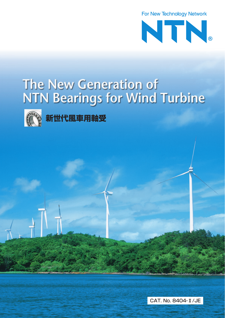

# The New Generation of **NTN Bearings for Wind Turbine**



**TE 新世代風車用軸受** 

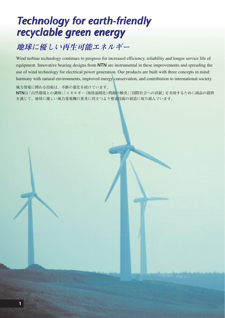## *Technology for earth-friendly Technology for earth-friendly recyclable green energy recyclable green energy*

### 地球に優しい再生可能エネルギー 地球に優しい再生可能エネルギー

Wind turbine technology continues to progress for increased efficiency, reliability and longer service life of equipment. Innovative bearing designs from **NTN** are instrumental in these improvements and spreading the use of wind technology for electrical power generation. Our products are built with three concepts in mind: harmony with natural environments, improved energy conservation, and contribution to international society.

**風力発電に関わる技術は、不断の進化を続けています。**

**NTNは「自然環境との調和」「エネルギー(地球温暖化)問題の解決」「国際社会への貢献」を実現するために商品の提供 を通じて、地球に優しい風力発電機の普及に役立つよう要素技術の創造に取り組んでいます。**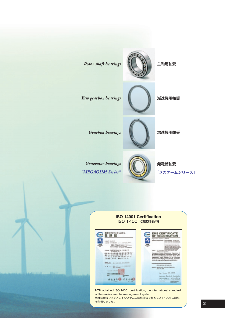



**NTN** obtained ISO 14001 certification, the international standard of the environmental management system. 当社は環境マネジメントシステムの国際規格であるISO 14001の認証

を取得しました。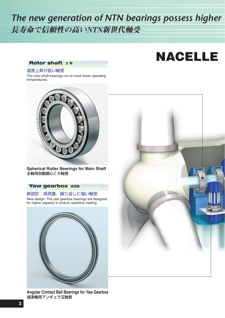### *The new generation of NTN bearings possess higher*  長寿命で信頼性の高いNTN新世代軸受

## **NACELLE**

### **Rotor shaft 主軸**

#### 温度上昇が低い軸受

The rotor shaft bearings run at much lower operating temperatures.



**Spherical Roller Bearings for Main Shaft** 主軸用自動調心ころ軸受

#### **Yaw gearbox 減速機**

新設計:高荷重、繰り返しに強い軸受 New design: The yaw gearbox bearings are designed for higher capacity to endure repetitive loading.





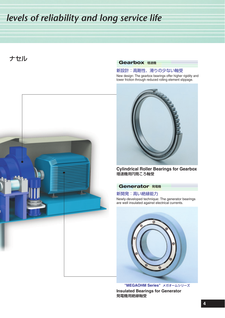### *levels of reliability and long service life*

ナセル



#### **Gearbox** 増速機

#### 新設計:高剛性、滑りの少ない軸受

New design: The gearbox bearings offer higher rigidity and lower friction through reduced rolling element slippage.



**Cylindrical Roller Bearings for Gearbox** 増速機用円筒ころ軸受

#### **Generator 発電機**

新開発:高い絶縁能力 Newly-developed technique: The generator bearings are well insulated against electrical currents.



**Insulated Bearings for Generator** 発電機用絶縁軸受 **"MEGAOHM Series"** メガオームシリーズ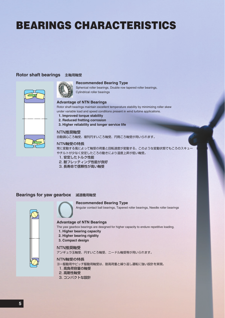## **BEARINGS CHARACTERISTICS**

#### **Rotor shaft bearings** 主軸用軸受



#### **Recommended Bearing Type**

Spherical roller bearings, Double row tapered roller bearings, Cylindrical roller bearings

#### **Advantage of NTN Bearings**

Rotor shaft bearings maintain excellent temperature stability by minimizing roller skew under variable load and speed conditions present in wind turbine applications.

- **1. Improved torque stability**
- **2. Reduced fretting corrosion**
- **3. Higher reliability and longer service life**

#### NTN推奨軸受

自動調心ころ軸受、複列円すいころ軸受、円筒ころ軸受が用いられます。

#### NTN軸受の特長

常に変動する風によって軸受の荷重と回転速度が変動する。このような変動状態でもころのスキュー やチルトが少なく安定したころの動きにより温度上昇が低い軸受。

- 1. 安定したトルク性能
- 2. 耐フレッティング性能が良好
- 3. 長寿命で信頼性が高い軸受

#### **Bearings for yaw gearbox** 減速機用軸受

#### **Recommended Bearing Type**

Angular contact ball bearings, Tapered roller bearings, Needle roller bearings



#### **Advantage of NTN Bearings**

The yaw gearbox bearings are designed for higher capacity to endure repetitive loading.

- **1. Higher bearing capacity**
- **2. Higher bearing rigidity**
- **3. Compact design**

#### NTN推奨軸受

アンギュラ玉軸受、円すいころ軸受、ニードル軸受等が用いられます。

#### NTN軸受の特長

- ヨー駆動用やピッチ駆動用軸受は、耐高荷重と繰り返し運転に強い設計を実現。
- 1. 高負荷容量の軸受
- 2. 高剛性軸受
- 3. コンパクトな設計